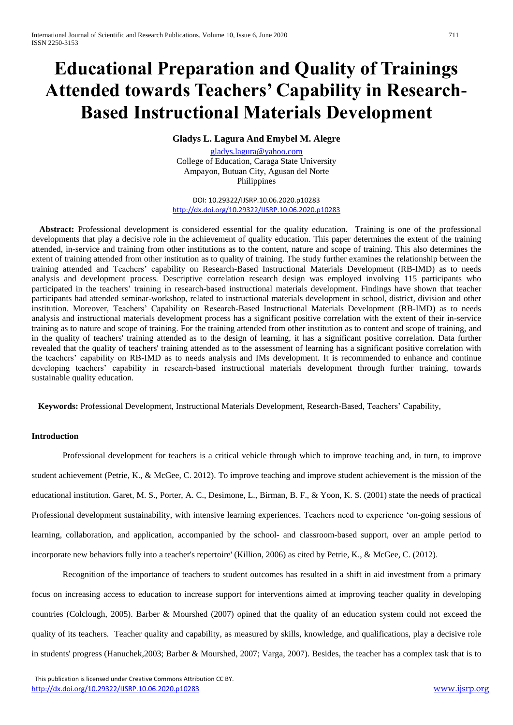# **Educational Preparation and Quality of Trainings Attended towards Teachers' Capability in Research-Based Instructional Materials Development**

## **Gladys L. Lagura And Emybel M. Alegre**

[gladys.lagura@yahoo.com](mailto:gladys.lagura@yahoo.com) College of Education, Caraga State University Ampayon, Butuan City, Agusan del Norte Philippines

DOI: 10.29322/IJSRP.10.06.2020.p10283 <http://dx.doi.org/10.29322/IJSRP.10.06.2020.p10283>

**Abstract:** Professional development is considered essential for the quality education. Training is one of the professional developments that play a decisive role in the achievement of quality education. This paper determines the extent of the training attended, in-service and training from other institutions as to the content, nature and scope of training. This also determines the extent of training attended from other institution as to quality of training. The study further examines the relationship between the training attended and Teachers' capability on Research-Based Instructional Materials Development (RB-IMD) as to needs analysis and development process. Descriptive correlation research design was employed involving 115 participants who participated in the teachers' training in research-based instructional materials development. Findings have shown that teacher participants had attended seminar-workshop, related to instructional materials development in school, district, division and other institution. Moreover, Teachers' Capability on Research-Based Instructional Materials Development (RB-IMD) as to needs analysis and instructional materials development process has a significant positive correlation with the extent of their in-service training as to nature and scope of training. For the training attended from other institution as to content and scope of training, and in the quality of teachers' training attended as to the design of learning, it has a significant positive correlation. Data further revealed that the quality of teachers' training attended as to the assessment of learning has a significant positive correlation with the teachers' capability on RB-IMD as to needs analysis and IMs development. It is recommended to enhance and continue developing teachers' capability in research-based instructional materials development through further training, towards sustainable quality education.

 **Keywords:** Professional Development, Instructional Materials Development, Research-Based, Teachers' Capability,

### **Introduction**

Professional development for teachers is a critical vehicle through which to improve teaching and, in turn, to improve student achievement (Petrie, K., & McGee, C. 2012). To improve teaching and improve student achievement is the mission of the educational institution. Garet, M. S., Porter, A. C., Desimone, L., Birman, B. F., & Yoon, K. S. (2001) state the needs of practical Professional development sustainability, with intensive learning experiences. Teachers need to experience 'on-going sessions of learning, collaboration, and application, accompanied by the school- and classroom-based support, over an ample period to incorporate new behaviors fully into a teacher's repertoire' (Killion, 2006) as cited by Petrie, K., & McGee, C. (2012).

Recognition of the importance of teachers to student outcomes has resulted in a shift in aid investment from a primary focus on increasing access to education to increase support for interventions aimed at improving teacher quality in developing countries (Colclough, 2005). Barber & Mourshed (2007) opined that the quality of an education system could not exceed the quality of its teachers. Teacher quality and capability, as measured by skills, knowledge, and qualifications, play a decisive role in students' progress (Hanuchek,2003; Barber & Mourshed, 2007; Varga, 2007). Besides, the teacher has a complex task that is to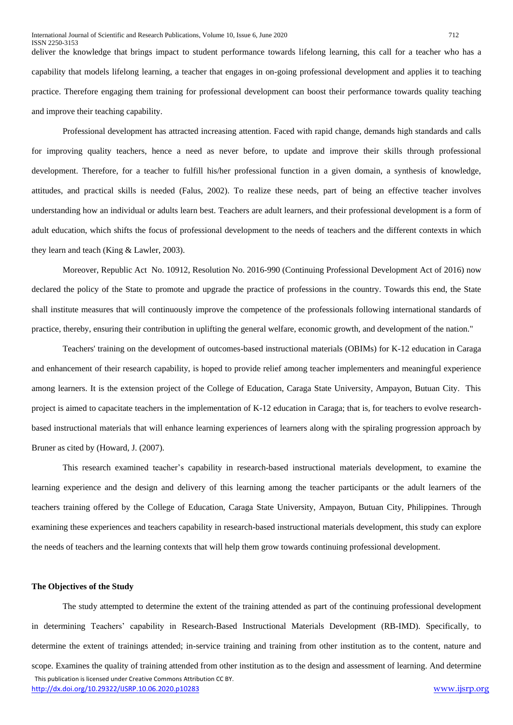deliver the knowledge that brings impact to student performance towards lifelong learning, this call for a teacher who has a capability that models lifelong learning, a teacher that engages in on-going professional development and applies it to teaching practice. Therefore engaging them training for professional development can boost their performance towards quality teaching and improve their teaching capability.

Professional development has attracted increasing attention. Faced with rapid change, demands high standards and calls for improving quality teachers, hence a need as never before, to update and improve their skills through professional development. Therefore, for a teacher to fulfill his/her professional function in a given domain, a synthesis of knowledge, attitudes, and practical skills is needed (Falus, 2002). To realize these needs, part of being an effective teacher involves understanding how an individual or adults learn best. Teachers are adult learners, and their professional development is a form of adult education, which shifts the focus of professional development to the needs of teachers and the different contexts in which they learn and teach (King & Lawler, 2003).

Moreover, Republic Act No. 10912, Resolution No. 2016-990 (Continuing Professional Development Act of 2016) now declared the policy of the State to promote and upgrade the practice of professions in the country. Towards this end, the State shall institute measures that will continuously improve the competence of the professionals following international standards of practice, thereby, ensuring their contribution in uplifting the general welfare, economic growth, and development of the nation."

Teachers' training on the development of outcomes-based instructional materials (OBIMs) for K-12 education in Caraga and enhancement of their research capability, is hoped to provide relief among teacher implementers and meaningful experience among learners. It is the extension project of the College of Education, Caraga State University, Ampayon, Butuan City. This project is aimed to capacitate teachers in the implementation of K-12 education in Caraga; that is, for teachers to evolve researchbased instructional materials that will enhance learning experiences of learners along with the spiraling progression approach by Bruner as cited by (Howard, J. (2007).

This research examined teacher's capability in research-based instructional materials development, to examine the learning experience and the design and delivery of this learning among the teacher participants or the adult learners of the teachers training offered by the College of Education, Caraga State University, Ampayon, Butuan City, Philippines. Through examining these experiences and teachers capability in research-based instructional materials development, this study can explore the needs of teachers and the learning contexts that will help them grow towards continuing professional development.

#### **The Objectives of the Study**

 This publication is licensed under Creative Commons Attribution CC BY. <http://dx.doi.org/10.29322/IJSRP.10.06.2020.p10283> [www.ijsrp.org](http://ijsrp.org/) The study attempted to determine the extent of the training attended as part of the continuing professional development in determining Teachers' capability in Research-Based Instructional Materials Development (RB-IMD). Specifically, to determine the extent of trainings attended; in-service training and training from other institution as to the content, nature and scope. Examines the quality of training attended from other institution as to the design and assessment of learning. And determine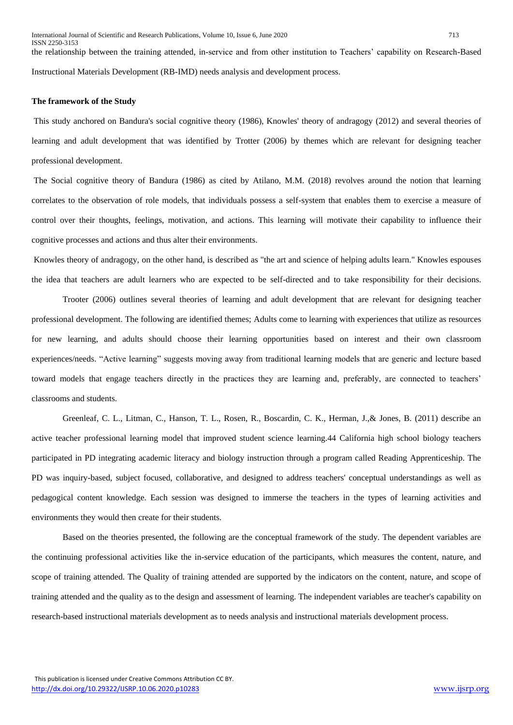the relationship between the training attended, in-service and from other institution to Teachers' capability on Research-Based Instructional Materials Development (RB-IMD) needs analysis and development process.

### **The framework of the Study**

This study anchored on Bandura's social cognitive theory (1986), Knowles' theory of andragogy (2012) and several theories of learning and adult development that was identified by Trotter (2006) by themes which are relevant for designing teacher professional development.

The Social cognitive theory of Bandura (1986) as cited by Atilano, M.M. (2018) revolves around the notion that learning correlates to the observation of role models, that individuals possess a self-system that enables them to exercise a measure of control over their thoughts, feelings, motivation, and actions. This learning will motivate their capability to influence their cognitive processes and actions and thus alter their environments.

Knowles theory of andragogy, on the other hand, is described as "the art and science of helping adults learn." Knowles espouses the idea that teachers are adult learners who are expected to be self-directed and to take responsibility for their decisions.

Trooter (2006) outlines several theories of learning and adult development that are relevant for designing teacher professional development. The following are identified themes; Adults come to learning with experiences that utilize as resources for new learning, and adults should choose their learning opportunities based on interest and their own classroom experiences/needs. "Active learning" suggests moving away from traditional learning models that are generic and lecture based toward models that engage teachers directly in the practices they are learning and, preferably, are connected to teachers' classrooms and students.

Greenleaf, C. L., Litman, C., Hanson, T. L., Rosen, R., Boscardin, C. K., Herman, J.,& Jones, B. (2011) describe an active teacher professional learning model that improved student science learning.44 California high school biology teachers participated in PD integrating academic literacy and biology instruction through a program called Reading Apprenticeship. The PD was inquiry-based, subject focused, collaborative, and designed to address teachers' conceptual understandings as well as pedagogical content knowledge. Each session was designed to immerse the teachers in the types of learning activities and environments they would then create for their students.

Based on the theories presented, the following are the conceptual framework of the study. The dependent variables are the continuing professional activities like the in-service education of the participants, which measures the content, nature, and scope of training attended. The Quality of training attended are supported by the indicators on the content, nature, and scope of training attended and the quality as to the design and assessment of learning. The independent variables are teacher's capability on research-based instructional materials development as to needs analysis and instructional materials development process.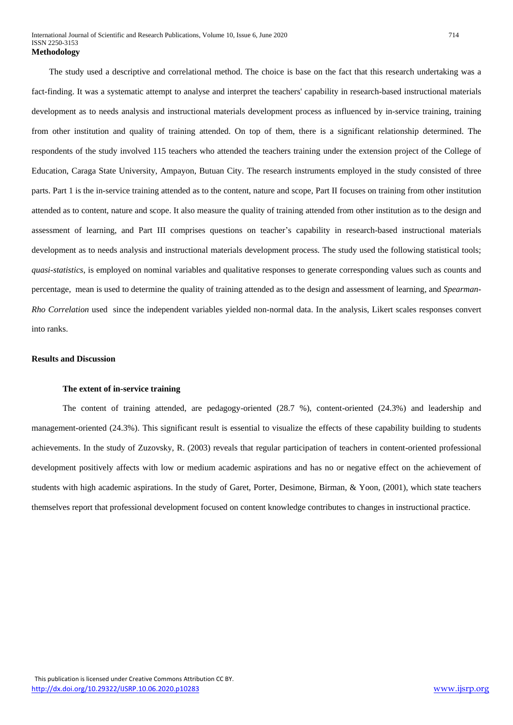The study used a descriptive and correlational method. The choice is base on the fact that this research undertaking was a fact-finding. It was a systematic attempt to analyse and interpret the teachers' capability in research-based instructional materials development as to needs analysis and instructional materials development process as influenced by in-service training, training from other institution and quality of training attended. On top of them, there is a significant relationship determined. The respondents of the study involved 115 teachers who attended the teachers training under the extension project of the College of Education, Caraga State University, Ampayon, Butuan City. The research instruments employed in the study consisted of three parts. Part 1 is the in-service training attended as to the content, nature and scope, Part II focuses on training from other institution attended as to content, nature and scope. It also measure the quality of training attended from other institution as to the design and assessment of learning, and Part III comprises questions on teacher's capability in research-based instructional materials development as to needs analysis and instructional materials development process. The study used the following statistical tools; *quasi-statistics*, is employed on nominal variables and qualitative responses to generate corresponding values such as counts and percentage, mean is used to determine the quality of training attended as to the design and assessment of learning, and *Spearman-Rho Correlation* used since the independent variables yielded non-normal data. In the analysis, Likert scales responses convert into ranks.

### **Results and Discussion**

### **The extent of in-service training**

The content of training attended, are pedagogy-oriented (28.7 %), content-oriented (24.3%) and leadership and management-oriented (24.3%). This significant result is essential to visualize the effects of these capability building to students achievements. In the study of Zuzovsky, R. (2003) reveals that regular participation of teachers in content-oriented professional development positively affects with low or medium academic aspirations and has no or negative effect on the achievement of students with high academic aspirations. In the study of Garet, Porter, Desimone, Birman, & Yoon, (2001), which state teachers themselves report that professional development focused on content knowledge contributes to changes in instructional practice.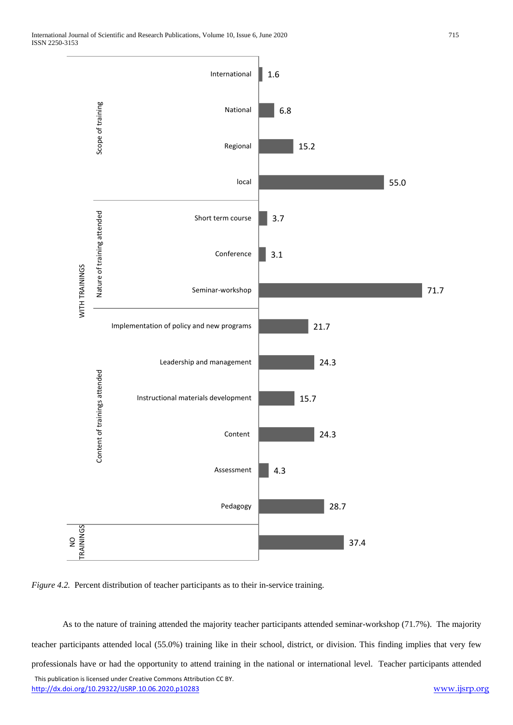

*Figure 4.2.* Percent distribution of teacher participants as to their in-service training.

 This publication is licensed under Creative Commons Attribution CC BY. <http://dx.doi.org/10.29322/IJSRP.10.06.2020.p10283> [www.ijsrp.org](http://ijsrp.org/) As to the nature of training attended the majority teacher participants attended seminar-workshop (71.7%). The majority teacher participants attended local (55.0%) training like in their school, district, or division. This finding implies that very few professionals have or had the opportunity to attend training in the national or international level. Teacher participants attended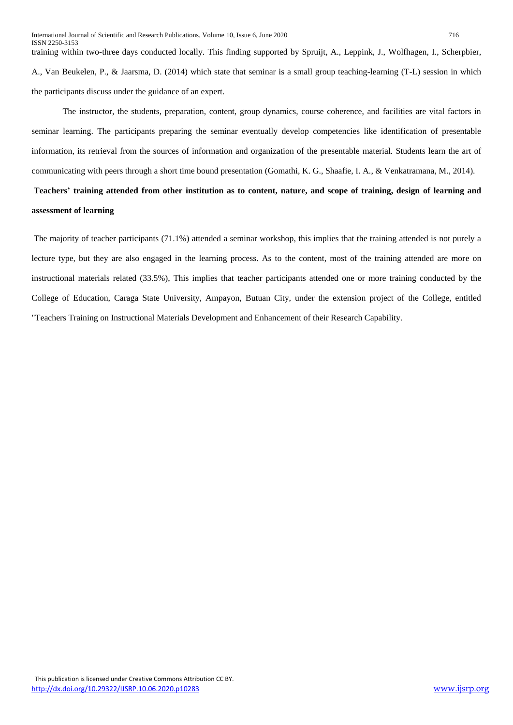training within two-three days conducted locally. This finding supported by Spruijt, A., Leppink, J., Wolfhagen, I., Scherpbier, A., Van Beukelen, P., & Jaarsma, D. (2014) which state that seminar is a small group teaching-learning (T-L) session in which the participants discuss under the guidance of an expert.

The instructor, the students, preparation, content, group dynamics, course coherence, and facilities are vital factors in seminar learning. The participants preparing the seminar eventually develop competencies like identification of presentable information, its retrieval from the sources of information and organization of the presentable material. Students learn the art of communicating with peers through a short time bound presentation (Gomathi, K. G., Shaafie, I. A., & Venkatramana, M., 2014).

# **Teachers' training attended from other institution as to content, nature, and scope of training, design of learning and assessment of learning**

The majority of teacher participants (71.1%) attended a seminar workshop, this implies that the training attended is not purely a lecture type, but they are also engaged in the learning process. As to the content, most of the training attended are more on instructional materials related (33.5%), This implies that teacher participants attended one or more training conducted by the College of Education, Caraga State University, Ampayon, Butuan City, under the extension project of the College, entitled "Teachers Training on Instructional Materials Development and Enhancement of their Research Capability.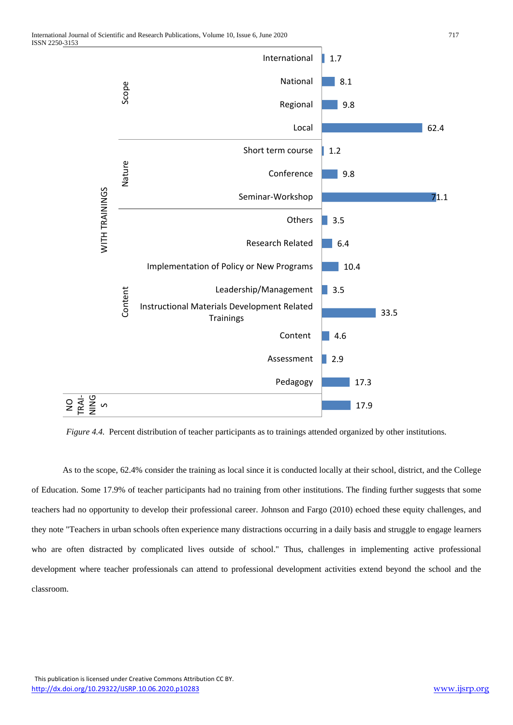

*Figure 4.4.* Percent distribution of teacher participants as to trainings attended organized by other institutions.

As to the scope, 62.4% consider the training as local since it is conducted locally at their school, district, and the College of Education. Some 17.9% of teacher participants had no training from other institutions. The finding further suggests that some teachers had no opportunity to develop their professional career. Johnson and Fargo (2010) echoed these equity challenges, and they note "Teachers in urban schools often experience many distractions occurring in a daily basis and struggle to engage learners who are often distracted by complicated lives outside of school." Thus, challenges in implementing active professional development where teacher professionals can attend to professional development activities extend beyond the school and the classroom.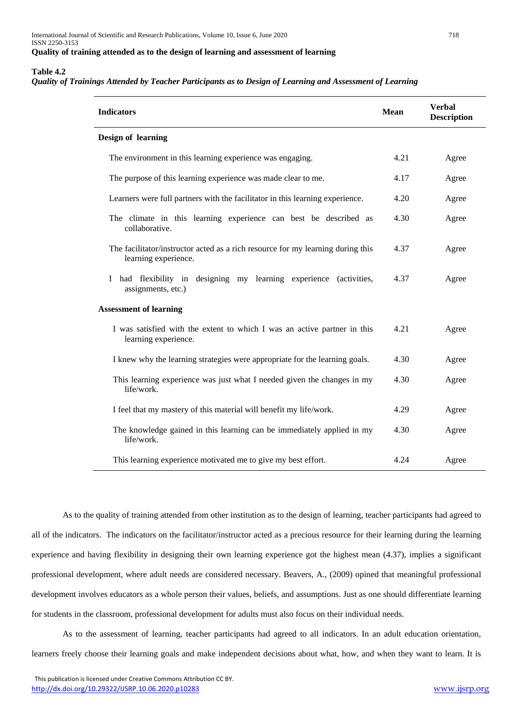### **Table 4.2**

### *Quality of Trainings Attended by Teacher Participants as to Design of Learning and Assessment of Learning*

| <b>Indicators</b>                                                                                       | Mean | <b>Verbal</b><br><b>Description</b> |
|---------------------------------------------------------------------------------------------------------|------|-------------------------------------|
| Design of learning                                                                                      |      |                                     |
| The environment in this learning experience was engaging.                                               | 4.21 | Agree                               |
| The purpose of this learning experience was made clear to me.                                           | 4.17 | Agree                               |
| Learners were full partners with the facilitator in this learning experience.                           | 4.20 | Agree                               |
| The climate in this learning experience can best be described as<br>collaborative.                      | 4.30 | Agree                               |
| The facilitator/instructor acted as a rich resource for my learning during this<br>learning experience. | 4.37 | Agree                               |
| had flexibility in designing my learning experience (activities,<br>L<br>assignments, etc.)             | 4.37 | Agree                               |
| <b>Assessment of learning</b>                                                                           |      |                                     |
| I was satisfied with the extent to which I was an active partner in this<br>learning experience.        | 4.21 | Agree                               |
| I knew why the learning strategies were appropriate for the learning goals.                             | 4.30 | Agree                               |
| This learning experience was just what I needed given the changes in my<br>life/work.                   | 4.30 | Agree                               |
| I feel that my mastery of this material will benefit my life/work.                                      | 4.29 | Agree                               |
| The knowledge gained in this learning can be immediately applied in my<br>life/work.                    | 4.30 | Agree                               |
| This learning experience motivated me to give my best effort.                                           | 4.24 | Agree                               |

As to the quality of training attended from other institution as to the design of learning, teacher participants had agreed to all of the indicators. The indicators on the facilitator/instructor acted as a precious resource for their learning during the learning experience and having flexibility in designing their own learning experience got the highest mean (4.37), implies a significant professional development, where adult needs are considered necessary. Beavers, A., (2009) opined that meaningful professional development involves educators as a whole person their values, beliefs, and assumptions. Just as one should differentiate learning for students in the classroom, professional development for adults must also focus on their individual needs.

As to the assessment of learning, teacher participants had agreed to all indicators. In an adult education orientation, learners freely choose their learning goals and make independent decisions about what, how, and when they want to learn. It is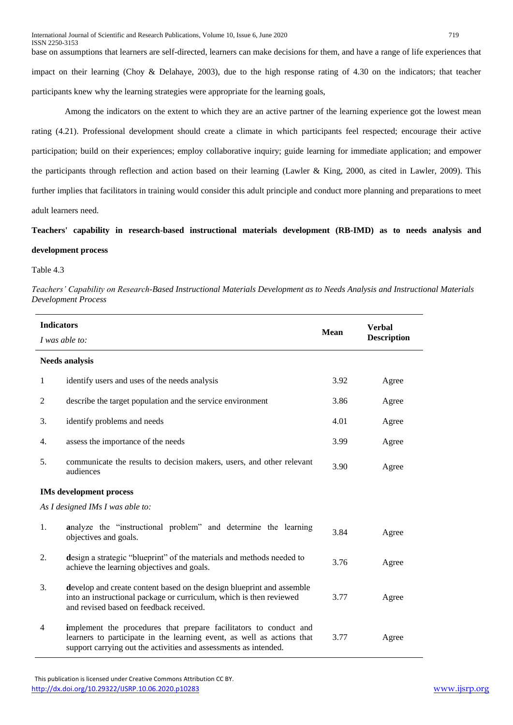base on assumptions that learners are self-directed, learners can make decisions for them, and have a range of life experiences that impact on their learning (Choy & Delahaye, 2003), due to the high response rating of 4.30 on the indicators; that teacher participants knew why the learning strategies were appropriate for the learning goals,

Among the indicators on the extent to which they are an active partner of the learning experience got the lowest mean rating (4.21). Professional development should create a climate in which participants feel respected; encourage their active participation; build on their experiences; employ collaborative inquiry; guide learning for immediate application; and empower the participants through reflection and action based on their learning (Lawler & King, 2000, as cited in Lawler, 2009). This further implies that facilitators in training would consider this adult principle and conduct more planning and preparations to meet adult learners need.

**Teachers' capability in research-based instructional materials development (RB-IMD) as to needs analysis and development process**

### Table 4.3

*Teachers' Capability on Research-Based Instructional Materials Development as to Needs Analysis and Instructional Materials Development Process*

| <b>Indicators</b> | I was able to:                                                                                                                                                                                                  | <b>Mean</b> | <b>Verbal</b><br><b>Description</b> |
|-------------------|-----------------------------------------------------------------------------------------------------------------------------------------------------------------------------------------------------------------|-------------|-------------------------------------|
|                   | <b>Needs analysis</b>                                                                                                                                                                                           |             |                                     |
| 1                 | identify users and uses of the needs analysis                                                                                                                                                                   | 3.92        | Agree                               |
| 2                 | describe the target population and the service environment                                                                                                                                                      | 3.86        | Agree                               |
| 3.                | identify problems and needs                                                                                                                                                                                     | 4.01        | Agree                               |
| 4.                | assess the importance of the needs                                                                                                                                                                              | 3.99        | Agree                               |
| 5.                | communicate the results to decision makers, users, and other relevant<br>audiences                                                                                                                              | 3.90        | Agree                               |
|                   | <b>IMs development process</b>                                                                                                                                                                                  |             |                                     |
|                   | As I designed IMs I was able to:                                                                                                                                                                                |             |                                     |
| 1.                | analyze the "instructional problem" and determine the learning<br>objectives and goals.                                                                                                                         | 3.84        | Agree                               |
| 2.                | design a strategic "blueprint" of the materials and methods needed to<br>achieve the learning objectives and goals.                                                                                             | 3.76        | Agree                               |
| 3.                | develop and create content based on the design blueprint and assemble<br>into an instructional package or curriculum, which is then reviewed<br>and revised based on feedback received.                         | 3.77        | Agree                               |
| 4                 | implement the procedures that prepare facilitators to conduct and<br>learners to participate in the learning event, as well as actions that<br>support carrying out the activities and assessments as intended. | 3.77        | Agree                               |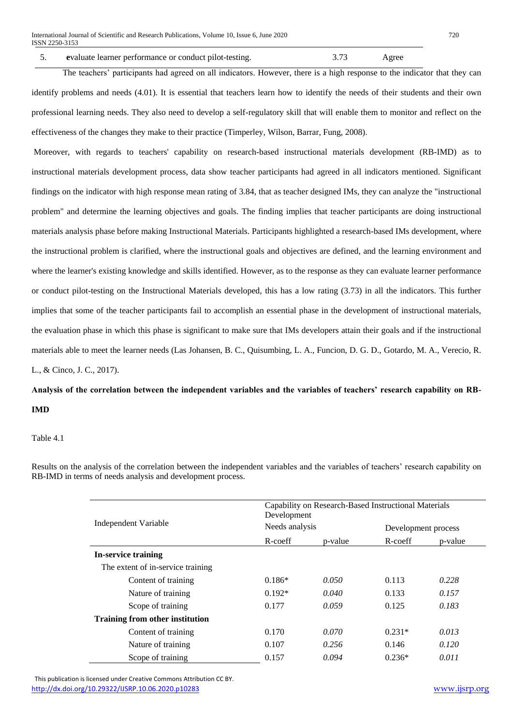The teachers' participants had agreed on all indicators. However, there is a high response to the indicator that they can identify problems and needs (4.01). It is essential that teachers learn how to identify the needs of their students and their own professional learning needs. They also need to develop a self-regulatory skill that will enable them to monitor and reflect on the effectiveness of the changes they make to their practice (Timperley, Wilson, Barrar, Fung, 2008).

Moreover, with regards to teachers' capability on research-based instructional materials development (RB-IMD) as to instructional materials development process, data show teacher participants had agreed in all indicators mentioned. Significant findings on the indicator with high response mean rating of 3.84, that as teacher designed IMs, they can analyze the "instructional problem" and determine the learning objectives and goals. The finding implies that teacher participants are doing instructional materials analysis phase before making Instructional Materials. Participants highlighted a research-based IMs development, where the instructional problem is clarified, where the instructional goals and objectives are defined, and the learning environment and where the learner's existing knowledge and skills identified. However, as to the response as they can evaluate learner performance or conduct pilot-testing on the Instructional Materials developed, this has a low rating (3.73) in all the indicators. This further implies that some of the teacher participants fail to accomplish an essential phase in the development of instructional materials, the evaluation phase in which this phase is significant to make sure that IMs developers attain their goals and if the instructional materials able to meet the learner needs (Las Johansen, B. C., Quisumbing, L. A., Funcion, D. G. D., Gotardo, M. A., Verecio, R. L., & Cinco, J. C., 2017).

**Analysis of the correlation between the independent variables and the variables of teachers' research capability on RB-IMD** 

Table 4.1

|                                        | Capability on Research-Based Instructional Materials<br>Development |         |                     |         |
|----------------------------------------|---------------------------------------------------------------------|---------|---------------------|---------|
| Independent Variable                   | Needs analysis                                                      |         | Development process |         |
|                                        | R-coeff                                                             | p-value | R-coeff             | p-value |
| In-service training                    |                                                                     |         |                     |         |
| The extent of in-service training      |                                                                     |         |                     |         |
| Content of training                    | $0.186*$                                                            | 0.050   | 0.113               | 0.228   |
| Nature of training                     | $0.192*$                                                            | 0.040   | 0.133               | 0.157   |
| Scope of training                      | 0.177                                                               | 0.059   | 0.125               | 0.183   |
| <b>Training from other institution</b> |                                                                     |         |                     |         |
| Content of training                    | 0.170                                                               | 0.070   | $0.231*$            | 0.013   |
| Nature of training                     | 0.107                                                               | 0.256   | 0.146               | 0.120   |
| Scope of training                      | 0.157                                                               | 0.094   | $0.236*$            | 0.011   |

Results on the analysis of the correlation between the independent variables and the variables of teachers' research capability on RB-IMD in terms of needs analysis and development process.

 This publication is licensed under Creative Commons Attribution CC BY. <http://dx.doi.org/10.29322/IJSRP.10.06.2020.p10283> [www.ijsrp.org](http://ijsrp.org/)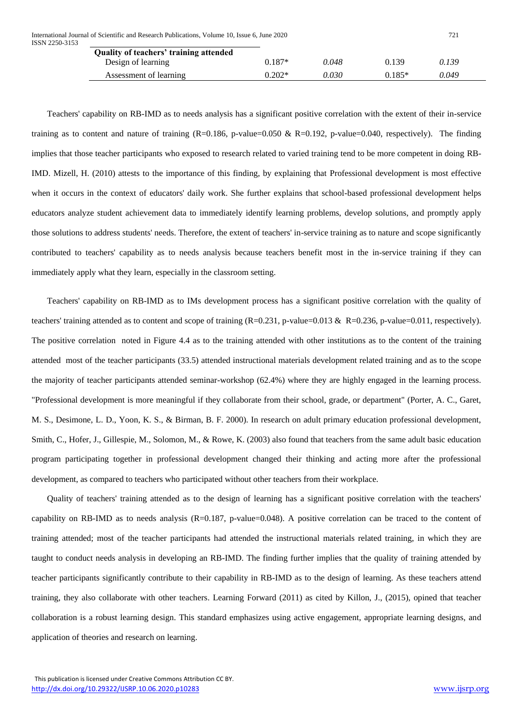| Quality of teachers' training attended |          |       |          |       |
|----------------------------------------|----------|-------|----------|-------|
| Design of learning                     | $0.187*$ | 0.048 | 0.139    | 0.139 |
| Assessment of learning                 | $0.202*$ | 0.030 | $0.185*$ | 0.049 |

Teachers' capability on RB-IMD as to needs analysis has a significant positive correlation with the extent of their in-service training as to content and nature of training  $(R=0.186, p-value=0.050 \& R=0.192, p-value=0.040, respectively)$ . The finding implies that those teacher participants who exposed to research related to varied training tend to be more competent in doing RB-IMD. Mizell, H. (2010) attests to the importance of this finding, by explaining that Professional development is most effective when it occurs in the context of educators' daily work. She further explains that school-based professional development helps educators analyze student achievement data to immediately identify learning problems, develop solutions, and promptly apply those solutions to address students' needs. Therefore, the extent of teachers' in-service training as to nature and scope significantly contributed to teachers' capability as to needs analysis because teachers benefit most in the in-service training if they can immediately apply what they learn, especially in the classroom setting.

Teachers' capability on RB-IMD as to IMs development process has a significant positive correlation with the quality of teachers' training attended as to content and scope of training  $(R=0.231, p-value=0.013 \& R=0.236, p-value=0.011, respectively)$ . The positive correlation noted in Figure 4.4 as to the training attended with other institutions as to the content of the training attended most of the teacher participants (33.5) attended instructional materials development related training and as to the scope the majority of teacher participants attended seminar-workshop (62.4%) where they are highly engaged in the learning process. "Professional development is more meaningful if they collaborate from their school, grade, or department" (Porter, A. C., Garet, M. S., Desimone, L. D., Yoon, K. S., & Birman, B. F. 2000). In research on adult primary education professional development, Smith, C., Hofer, J., Gillespie, M., Solomon, M., & Rowe, K. (2003) also found that teachers from the same adult basic education program participating together in professional development changed their thinking and acting more after the professional development, as compared to teachers who participated without other teachers from their workplace.

Quality of teachers' training attended as to the design of learning has a significant positive correlation with the teachers' capability on RB-IMD as to needs analysis (R=0.187, p-value=0.048). A positive correlation can be traced to the content of training attended; most of the teacher participants had attended the instructional materials related training, in which they are taught to conduct needs analysis in developing an RB-IMD. The finding further implies that the quality of training attended by teacher participants significantly contribute to their capability in RB-IMD as to the design of learning. As these teachers attend training, they also collaborate with other teachers. Learning Forward (2011) as cited by Killon, J., (2015), opined that teacher collaboration is a robust learning design. This standard emphasizes using active engagement, appropriate learning designs, and application of theories and research on learning.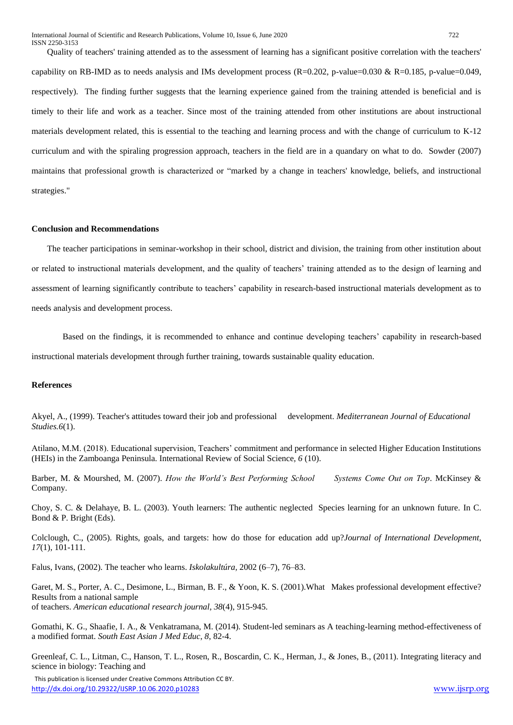Quality of teachers' training attended as to the assessment of learning has a significant positive correlation with the teachers' capability on RB-IMD as to needs analysis and IMs development process  $(R=0.202, p-value=0.030 \& R=0.185, p-value=0.049,$ respectively). The finding further suggests that the learning experience gained from the training attended is beneficial and is timely to their life and work as a teacher. Since most of the training attended from other institutions are about instructional materials development related, this is essential to the teaching and learning process and with the change of curriculum to K-12 curriculum and with the spiraling progression approach, teachers in the field are in a quandary on what to do. Sowder (2007) maintains that professional growth is characterized or "marked by a change in teachers' knowledge, beliefs, and instructional strategies."

### **Conclusion and Recommendations**

The teacher participations in seminar-workshop in their school, district and division, the training from other institution about or related to instructional materials development, and the quality of teachers' training attended as to the design of learning and assessment of learning significantly contribute to teachers' capability in research-based instructional materials development as to needs analysis and development process.

Based on the findings, it is recommended to enhance and continue developing teachers' capability in research-based instructional materials development through further training, towards sustainable quality education.

### **References**

Akyel, A., (1999). Teacher's attitudes toward their job and professional development. *Mediterranean Journal of Educational Studies.6*(1).

Atilano, M.M. (2018). Educational supervision, Teachers' commitment and performance in selected Higher Education Institutions (HEIs) in the Zamboanga Peninsula. International Review of Social Science, *6* (10).

Barber, M. & Mourshed, M. (2007). *How the World's Best Performing School Systems Come Out on Top*. McKinsey & Company.

Choy, S. C. & Delahaye, B. L. (2003). Youth learners: The authentic neglected Species learning for an unknown future. In C. Bond & P. Bright (Eds).

Colclough, C., (2005). Rights, goals, and targets: how do those for education add up?*Journal of International Development*, *17*(1), 101-111.

Falus, Ivans, (2002). The teacher who learns. *Iskolakultúra,* 2002 (6–7), 76–83.

Garet, M. S., Porter, A. C., Desimone, L., Birman, B. F., & Yoon, K. S. (2001).What Makes professional development effective? Results from a national sample of teachers. *American educational research journal*, *38*(4), 915-945.

Gomathi, K. G., Shaafie, I. A., & Venkatramana, M. (2014). Student-led seminars as A teaching-learning method-effectiveness of a modified format. *South East Asian J Med Educ*, *8*, 82-4.

Greenleaf, C. L., Litman, C., Hanson, T. L., Rosen, R., Boscardin, C. K., Herman, J., & Jones, B., (2011). Integrating literacy and science in biology: Teaching and